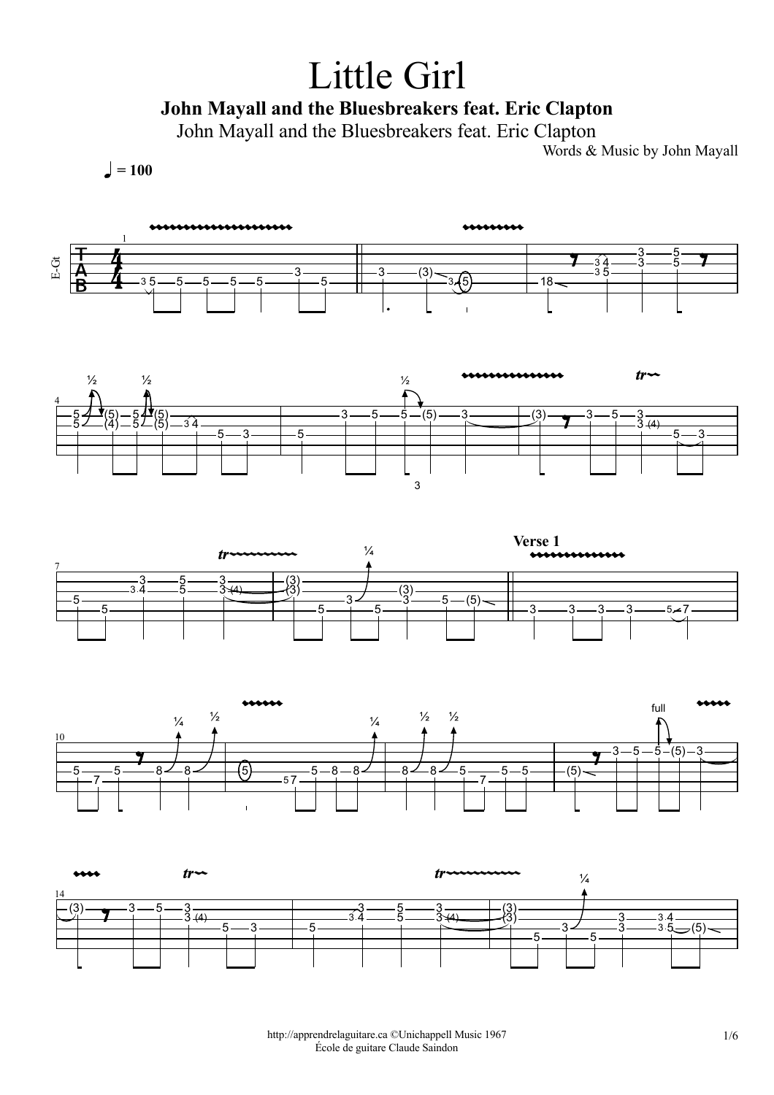## Little Girl

## John Mayall and the Bluesbreakers feat. Eric Clapton

John Mayall and the Bluesbreakers feat. Eric Clapton

Words & Music by John Mayall

 $\bigcup = 100$ 









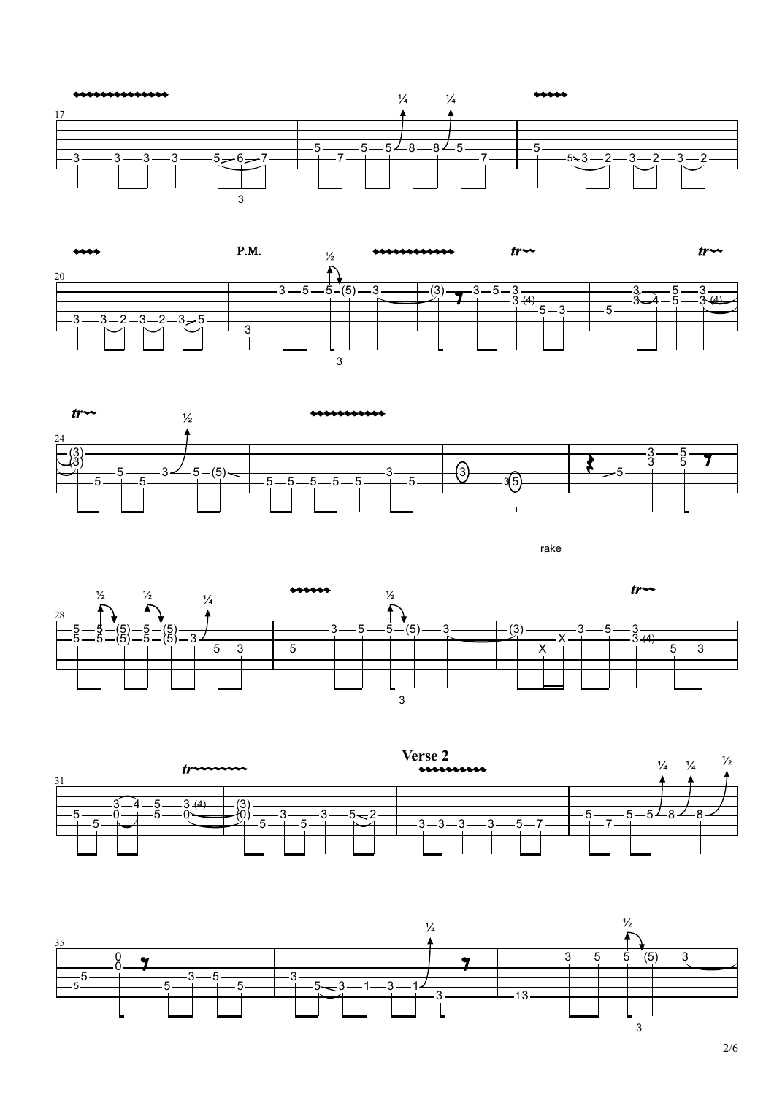





rake







2/6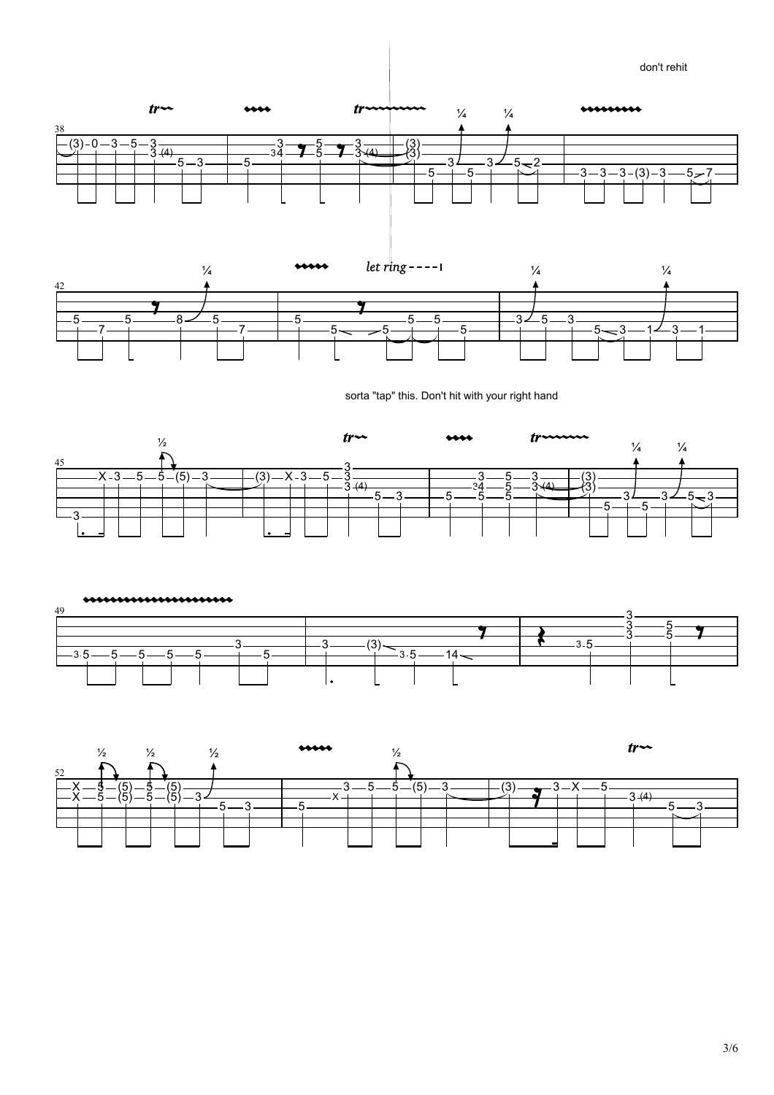





sorta "tap" this. Don't hit with your right hand





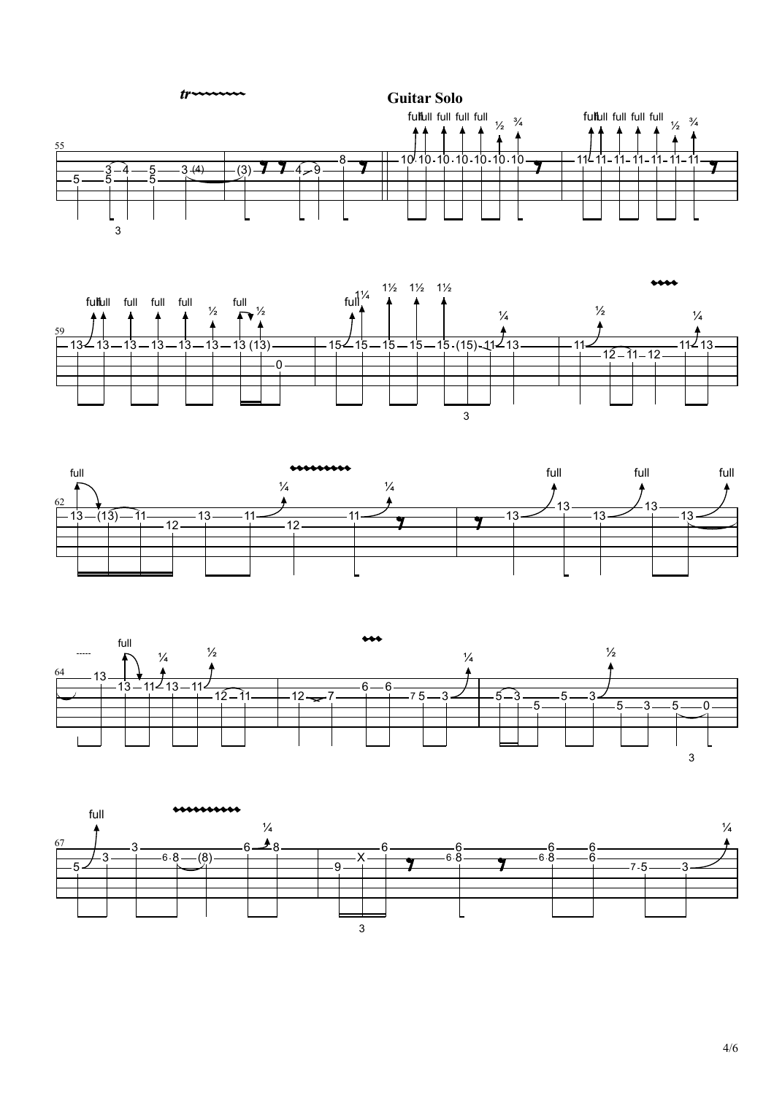









4/6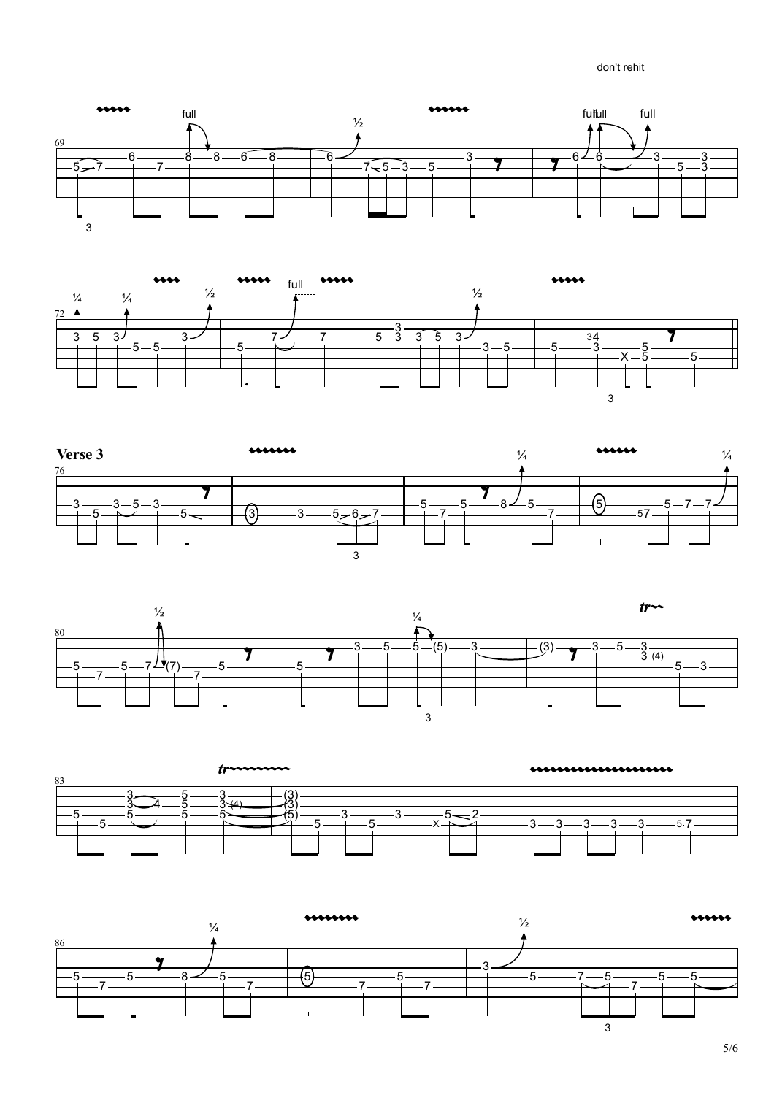don't rehit